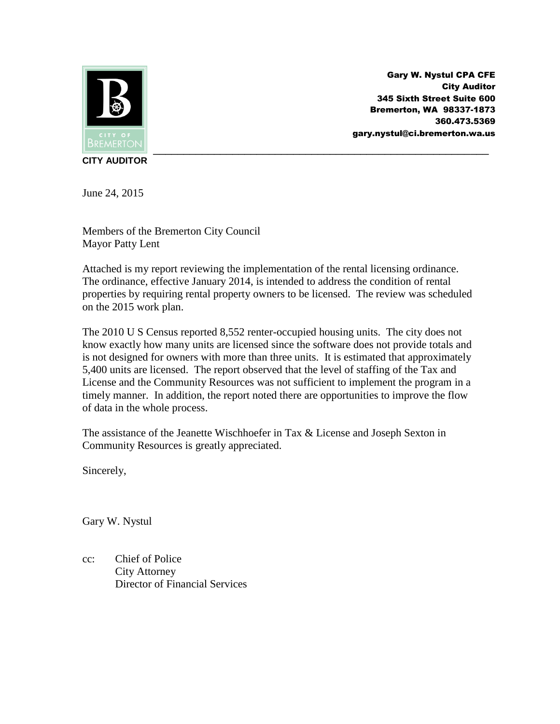

Gary W. Nystul CPA CFE City Auditor 345 Sixth Street Suite 600 Bremerton, WA 98337-1873 360.473.5369 gary.nystul@ci.bremerton.wa.us

**CITY AUDITOR**

June 24, 2015

Members of the Bremerton City Council Mayor Patty Lent

Attached is my report reviewing the implementation of the rental licensing ordinance. The ordinance, effective January 2014, is intended to address the condition of rental properties by requiring rental property owners to be licensed. The review was scheduled on the 2015 work plan.

The 2010 U S Census reported 8,552 renter-occupied housing units. The city does not know exactly how many units are licensed since the software does not provide totals and is not designed for owners with more than three units. It is estimated that approximately 5,400 units are licensed. The report observed that the level of staffing of the Tax and License and the Community Resources was not sufficient to implement the program in a timely manner. In addition, the report noted there are opportunities to improve the flow of data in the whole process.

The assistance of the Jeanette Wischhoefer in Tax & License and Joseph Sexton in Community Resources is greatly appreciated.

Sincerely,

Gary W. Nystul

cc: Chief of Police City Attorney Director of Financial Services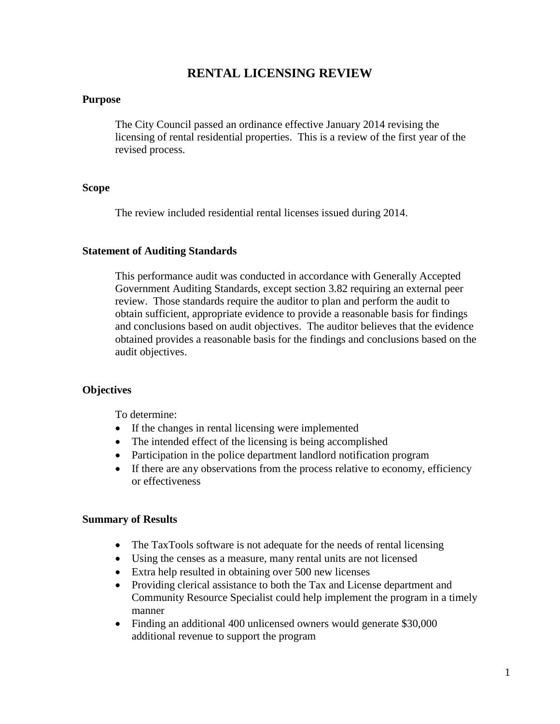# **RENTAL LICENSING REVIEW**

#### **Purpose**

The City Council passed an ordinance effective January 2014 revising the licensing of rental residential properties. This is a review of the first year of the revised process.

#### **Scope**

The review included residential rental licenses issued during 2014.

#### **Statement of Auditing Standards**

This performance audit was conducted in accordance with Generally Accepted Government Auditing Standards, except section 3.82 requiring an external peer review. Those standards require the auditor to plan and perform the audit to obtain sufficient, appropriate evidence to provide a reasonable basis for findings and conclusions based on audit objectives. The auditor believes that the evidence obtained provides a reasonable basis for the findings and conclusions based on the audit objectives.

#### **Objectives**

To determine:

- If the changes in rental licensing were implemented
- The intended effect of the licensing is being accomplished
- Participation in the police department landlord notification program
- If there are any observations from the process relative to economy, efficiency or effectiveness

#### **Summary of Results**

- The TaxTools software is not adequate for the needs of rental licensing
- Using the censes as a measure, many rental units are not licensed
- Extra help resulted in obtaining over 500 new licenses
- Providing clerical assistance to both the Tax and License department and Community Resource Specialist could help implement the program in a timely manner
- Finding an additional 400 unlicensed owners would generate \$30,000 additional revenue to support the program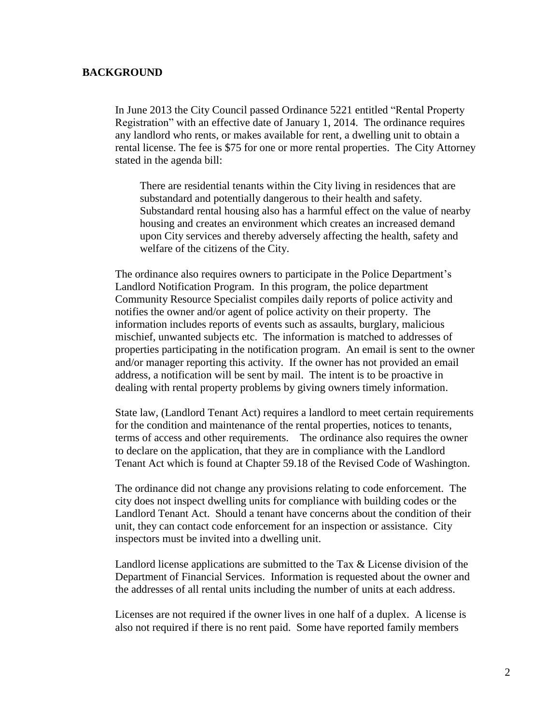#### **BACKGROUND**

In June 2013 the City Council passed Ordinance 5221 entitled "Rental Property Registration" with an effective date of January 1, 2014. The ordinance requires any landlord who rents, or makes available for rent, a dwelling unit to obtain a rental license. The fee is \$75 for one or more rental properties. The City Attorney stated in the agenda bill:

There are residential tenants within the City living in residences that are substandard and potentially dangerous to their health and safety. Substandard rental housing also has a harmful effect on the value of nearby housing and creates an environment which creates an increased demand upon City services and thereby adversely affecting the health, safety and welfare of the citizens of the City.

The ordinance also requires owners to participate in the Police Department's Landlord Notification Program. In this program, the police department Community Resource Specialist compiles daily reports of police activity and notifies the owner and/or agent of police activity on their property. The information includes reports of events such as assaults, burglary, malicious mischief, unwanted subjects etc. The information is matched to addresses of properties participating in the notification program. An email is sent to the owner and/or manager reporting this activity. If the owner has not provided an email address, a notification will be sent by mail. The intent is to be proactive in dealing with rental property problems by giving owners timely information.

State law, (Landlord Tenant Act) requires a landlord to meet certain requirements for the condition and maintenance of the rental properties, notices to tenants, terms of access and other requirements. The ordinance also requires the owner to declare on the application, that they are in compliance with the Landlord Tenant Act which is found at Chapter 59.18 of the Revised Code of Washington.

The ordinance did not change any provisions relating to code enforcement. The city does not inspect dwelling units for compliance with building codes or the Landlord Tenant Act. Should a tenant have concerns about the condition of their unit, they can contact code enforcement for an inspection or assistance. City inspectors must be invited into a dwelling unit.

Landlord license applications are submitted to the Tax & License division of the Department of Financial Services. Information is requested about the owner and the addresses of all rental units including the number of units at each address.

Licenses are not required if the owner lives in one half of a duplex. A license is also not required if there is no rent paid. Some have reported family members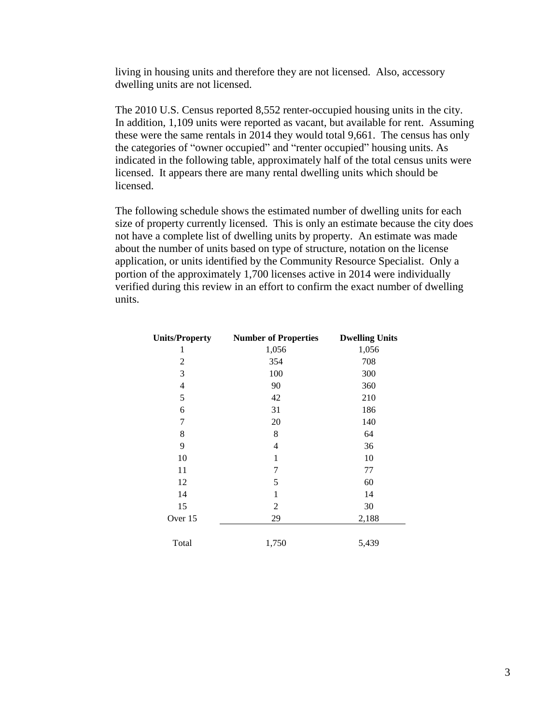living in housing units and therefore they are not licensed. Also, accessory dwelling units are not licensed.

The 2010 U.S. Census reported 8,552 renter-occupied housing units in the city. In addition, 1,109 units were reported as vacant, but available for rent. Assuming these were the same rentals in 2014 they would total 9,661. The census has only the categories of "owner occupied" and "renter occupied" housing units. As indicated in the following table, approximately half of the total census units were licensed. It appears there are many rental dwelling units which should be licensed.

The following schedule shows the estimated number of dwelling units for each size of property currently licensed. This is only an estimate because the city does not have a complete list of dwelling units by property. An estimate was made about the number of units based on type of structure, notation on the license application, or units identified by the Community Resource Specialist. Only a portion of the approximately 1,700 licenses active in 2014 were individually verified during this review in an effort to confirm the exact number of dwelling units.

| <b>Units/Property</b> | <b>Number of Properties</b> | <b>Dwelling Units</b> |
|-----------------------|-----------------------------|-----------------------|
| 1                     | 1,056                       | 1,056                 |
| $\overline{c}$        | 354                         | 708                   |
| 3                     | 100                         | 300                   |
| $\overline{4}$        | 90                          | 360                   |
| 5                     | 42                          | 210                   |
| 6                     | 31                          | 186                   |
| 7                     | 20                          | 140                   |
| 8                     | 8                           | 64                    |
| 9                     | 4                           | 36                    |
| 10                    | 1                           | 10                    |
| 11                    | 7                           | 77                    |
| 12                    | 5                           | 60                    |
| 14                    | 1                           | 14                    |
| 15                    | $\overline{c}$              | 30                    |
| Over 15               | 29                          | 2,188                 |
| Total                 | 1,750                       | 5,439                 |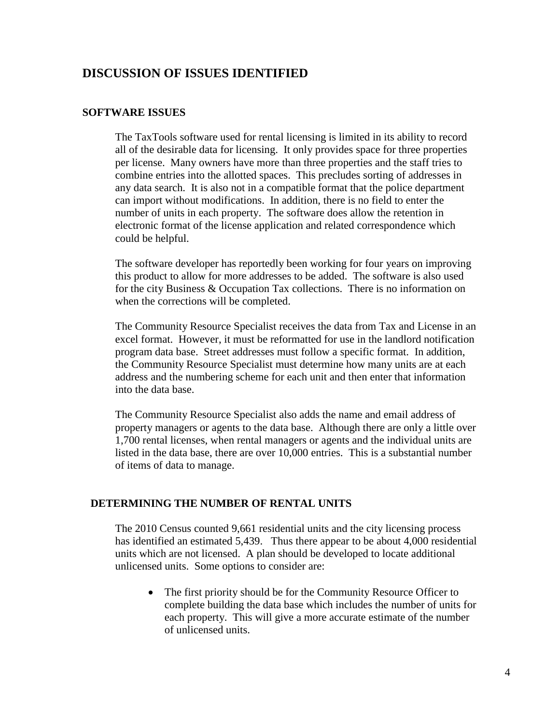# **DISCUSSION OF ISSUES IDENTIFIED**

#### **SOFTWARE ISSUES**

The TaxTools software used for rental licensing is limited in its ability to record all of the desirable data for licensing. It only provides space for three properties per license. Many owners have more than three properties and the staff tries to combine entries into the allotted spaces. This precludes sorting of addresses in any data search. It is also not in a compatible format that the police department can import without modifications. In addition, there is no field to enter the number of units in each property. The software does allow the retention in electronic format of the license application and related correspondence which could be helpful.

The software developer has reportedly been working for four years on improving this product to allow for more addresses to be added. The software is also used for the city Business & Occupation Tax collections. There is no information on when the corrections will be completed.

The Community Resource Specialist receives the data from Tax and License in an excel format. However, it must be reformatted for use in the landlord notification program data base. Street addresses must follow a specific format. In addition, the Community Resource Specialist must determine how many units are at each address and the numbering scheme for each unit and then enter that information into the data base.

The Community Resource Specialist also adds the name and email address of property managers or agents to the data base. Although there are only a little over 1,700 rental licenses, when rental managers or agents and the individual units are listed in the data base, there are over 10,000 entries. This is a substantial number of items of data to manage.

#### **DETERMINING THE NUMBER OF RENTAL UNITS**

The 2010 Census counted 9,661 residential units and the city licensing process has identified an estimated 5,439. Thus there appear to be about 4,000 residential units which are not licensed. A plan should be developed to locate additional unlicensed units. Some options to consider are:

• The first priority should be for the Community Resource Officer to complete building the data base which includes the number of units for each property. This will give a more accurate estimate of the number of unlicensed units.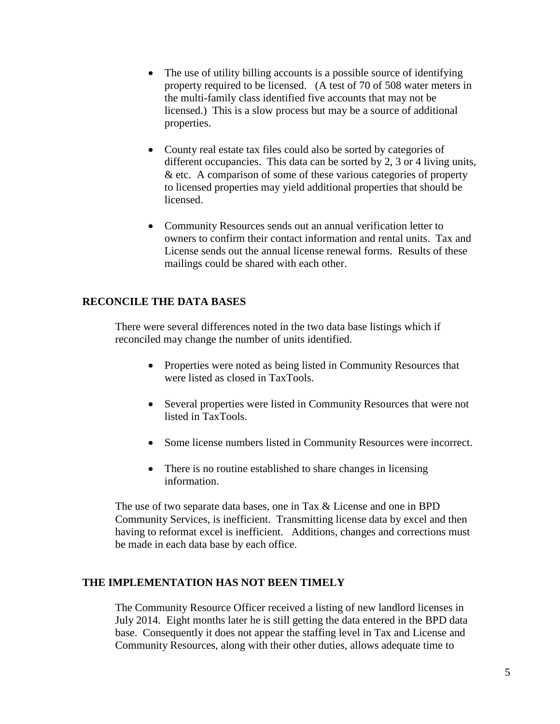- The use of utility billing accounts is a possible source of identifying property required to be licensed. (A test of 70 of 508 water meters in the multi-family class identified five accounts that may not be licensed.) This is a slow process but may be a source of additional properties.
- County real estate tax files could also be sorted by categories of different occupancies. This data can be sorted by 2, 3 or 4 living units, & etc. A comparison of some of these various categories of property to licensed properties may yield additional properties that should be licensed.
- Community Resources sends out an annual verification letter to owners to confirm their contact information and rental units. Tax and License sends out the annual license renewal forms. Results of these mailings could be shared with each other.

## **RECONCILE THE DATA BASES**

There were several differences noted in the two data base listings which if reconciled may change the number of units identified.

- Properties were noted as being listed in Community Resources that were listed as closed in TaxTools.
- Several properties were listed in Community Resources that were not listed in TaxTools.
- Some license numbers listed in Community Resources were incorrect.
- There is no routine established to share changes in licensing information.

The use of two separate data bases, one in Tax & License and one in BPD Community Services, is inefficient. Transmitting license data by excel and then having to reformat excel is inefficient. Additions, changes and corrections must be made in each data base by each office.

## **THE IMPLEMENTATION HAS NOT BEEN TIMELY**

The Community Resource Officer received a listing of new landlord licenses in July 2014. Eight months later he is still getting the data entered in the BPD data base. Consequently it does not appear the staffing level in Tax and License and Community Resources, along with their other duties, allows adequate time to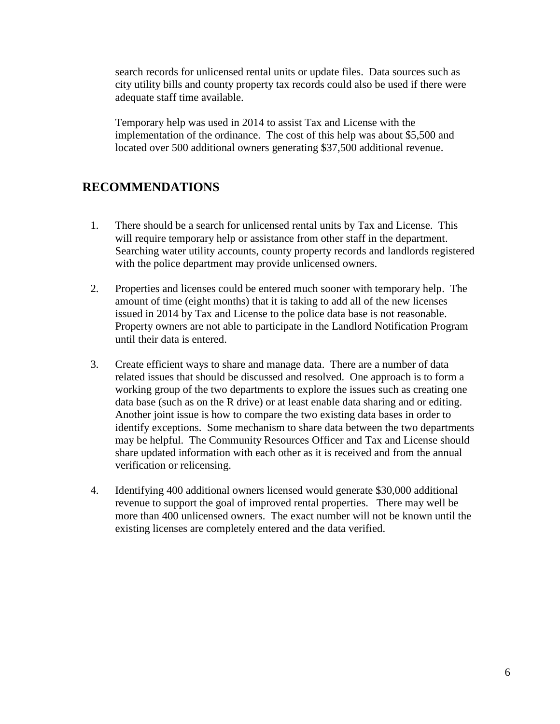search records for unlicensed rental units or update files. Data sources such as city utility bills and county property tax records could also be used if there were adequate staff time available.

Temporary help was used in 2014 to assist Tax and License with the implementation of the ordinance. The cost of this help was about \$5,500 and located over 500 additional owners generating \$37,500 additional revenue.

# **RECOMMENDATIONS**

- 1. There should be a search for unlicensed rental units by Tax and License. This will require temporary help or assistance from other staff in the department. Searching water utility accounts, county property records and landlords registered with the police department may provide unlicensed owners.
- 2. Properties and licenses could be entered much sooner with temporary help. The amount of time (eight months) that it is taking to add all of the new licenses issued in 2014 by Tax and License to the police data base is not reasonable. Property owners are not able to participate in the Landlord Notification Program until their data is entered.
- 3. Create efficient ways to share and manage data. There are a number of data related issues that should be discussed and resolved. One approach is to form a working group of the two departments to explore the issues such as creating one data base (such as on the R drive) or at least enable data sharing and or editing. Another joint issue is how to compare the two existing data bases in order to identify exceptions. Some mechanism to share data between the two departments may be helpful. The Community Resources Officer and Tax and License should share updated information with each other as it is received and from the annual verification or relicensing.
- 4. Identifying 400 additional owners licensed would generate \$30,000 additional revenue to support the goal of improved rental properties. There may well be more than 400 unlicensed owners. The exact number will not be known until the existing licenses are completely entered and the data verified.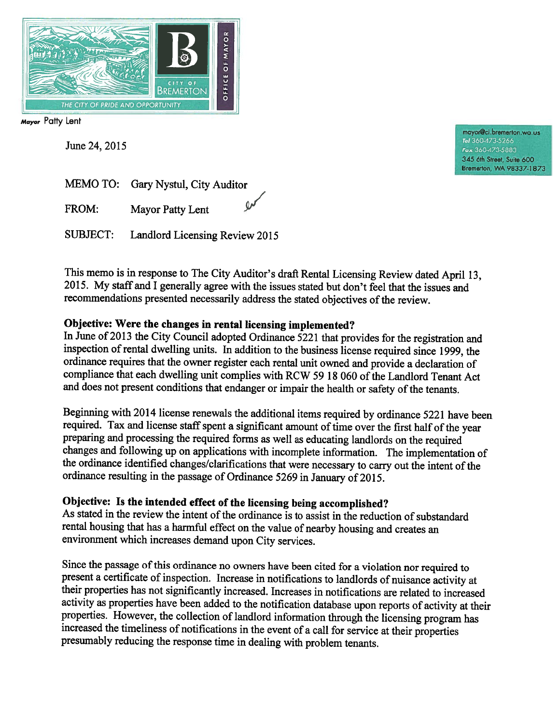

Mayor Patty Lent

June 24, 2015

mayor@ci.bremerton.wa.us Tel 360-473-5266 Fax 360-473-5883 345 6th Street, Suite 600 Bremerton, WA 98337-1873

|       | MEMO TO: Gary Nystul, City Auditor |                             |
|-------|------------------------------------|-----------------------------|
| FROM: | Mayor Patty Lent                   | $\mathcal{Q}^{\mathcal{J}}$ |

Landlord Licensing Review 2015 **SUBJECT:** 

This memo is in response to The City Auditor's draft Rental Licensing Review dated April 13, 2015. My staff and I generally agree with the issues stated but don't feel that the issues and recommendations presented necessarily address the stated objectives of the review.

## Objective: Were the changes in rental licensing implemented?

In June of 2013 the City Council adopted Ordinance 5221 that provides for the registration and inspection of rental dwelling units. In addition to the business license required since 1999, the ordinance requires that the owner register each rental unit owned and provide a declaration of compliance that each dwelling unit complies with RCW 59 18 060 of the Landlord Tenant Act and does not present conditions that endanger or impair the health or safety of the tenants.

Beginning with 2014 license renewals the additional items required by ordinance 5221 have been required. Tax and license staff spent a significant amount of time over the first half of the year preparing and processing the required forms as well as educating landlords on the required changes and following up on applications with incomplete information. The implementation of the ordinance identified changes/clarifications that were necessary to carry out the intent of the ordinance resulting in the passage of Ordinance 5269 in January of 2015.

## Objective: Is the intended effect of the licensing being accomplished?

As stated in the review the intent of the ordinance is to assist in the reduction of substandard rental housing that has a harmful effect on the value of nearby housing and creates an environment which increases demand upon City services.

Since the passage of this ordinance no owners have been cited for a violation nor required to present a certificate of inspection. Increase in notifications to landlords of nuisance activity at their properties has not significantly increased. Increases in notifications are related to increased activity as properties have been added to the notification database upon reports of activity at their properties. However, the collection of landlord information through the licensing program has increased the timeliness of notifications in the event of a call for service at their properties presumably reducing the response time in dealing with problem tenants.